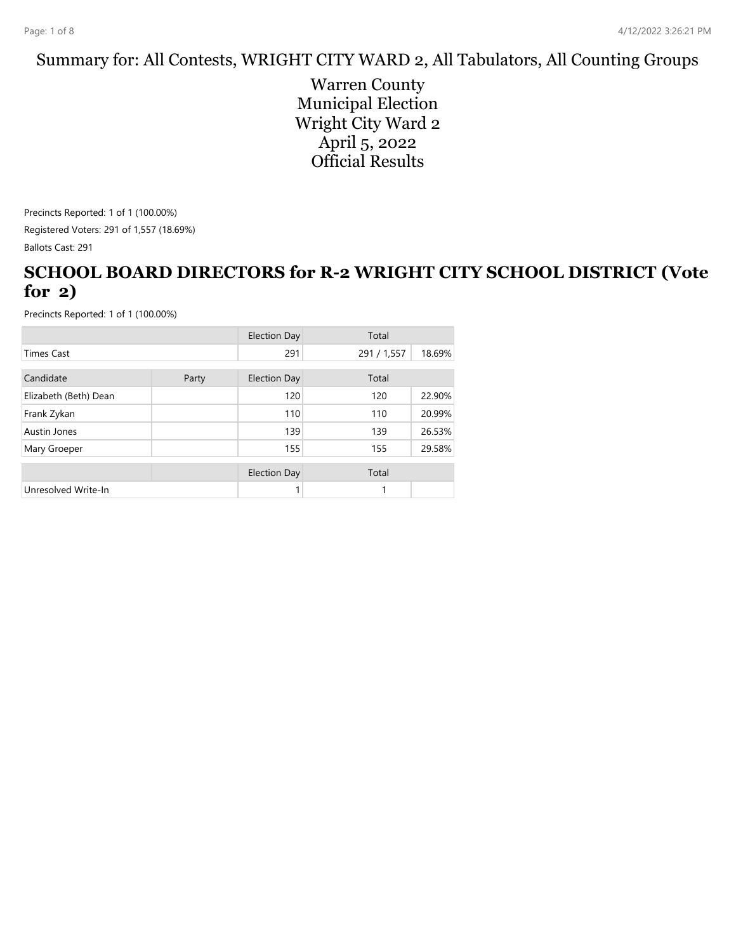### Summary for: All Contests, WRIGHT CITY WARD 2, All Tabulators, All Counting Groups

Warren County Municipal Election Wright City Ward 2 April 5, 2022 Official Results

Precincts Reported: 1 of 1 (100.00%) Registered Voters: 291 of 1,557 (18.69%) Ballots Cast: 291

### **SCHOOL BOARD DIRECTORS for R-2 WRIGHT CITY SCHOOL DISTRICT (Vote for 2)**

|                       |       | <b>Election Day</b> | Total       |        |
|-----------------------|-------|---------------------|-------------|--------|
| <b>Times Cast</b>     |       | 291                 | 291 / 1,557 | 18.69% |
| Candidate             | Party | <b>Election Day</b> | Total       |        |
| Elizabeth (Beth) Dean |       | 120                 | 120         | 22.90% |
| Frank Zykan           |       | 110                 | 110         | 20.99% |
| Austin Jones          |       | 139                 | 139         | 26.53% |
| Mary Groeper          |       | 155                 | 155         | 29.58% |
|                       |       | <b>Election Day</b> | Total       |        |
| Unresolved Write-In   |       |                     | 1           |        |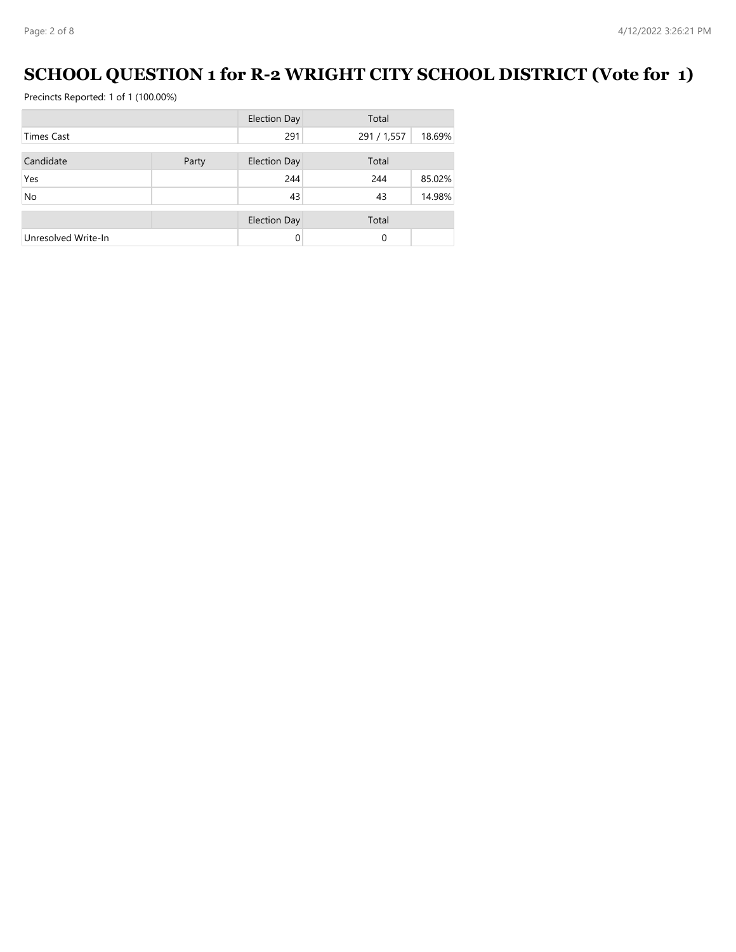# **SCHOOL QUESTION 1 for R-2 WRIGHT CITY SCHOOL DISTRICT (Vote for 1)**

|                     |       | <b>Election Day</b> | Total       |        |
|---------------------|-------|---------------------|-------------|--------|
| <b>Times Cast</b>   |       | 291                 | 291 / 1,557 | 18.69% |
| Candidate           | Party | <b>Election Day</b> | Total       |        |
| Yes                 |       | 244                 | 244         | 85.02% |
| <b>No</b>           |       | 43                  | 43          | 14.98% |
|                     |       | <b>Election Day</b> | Total       |        |
| Unresolved Write-In |       | 0                   | 0           |        |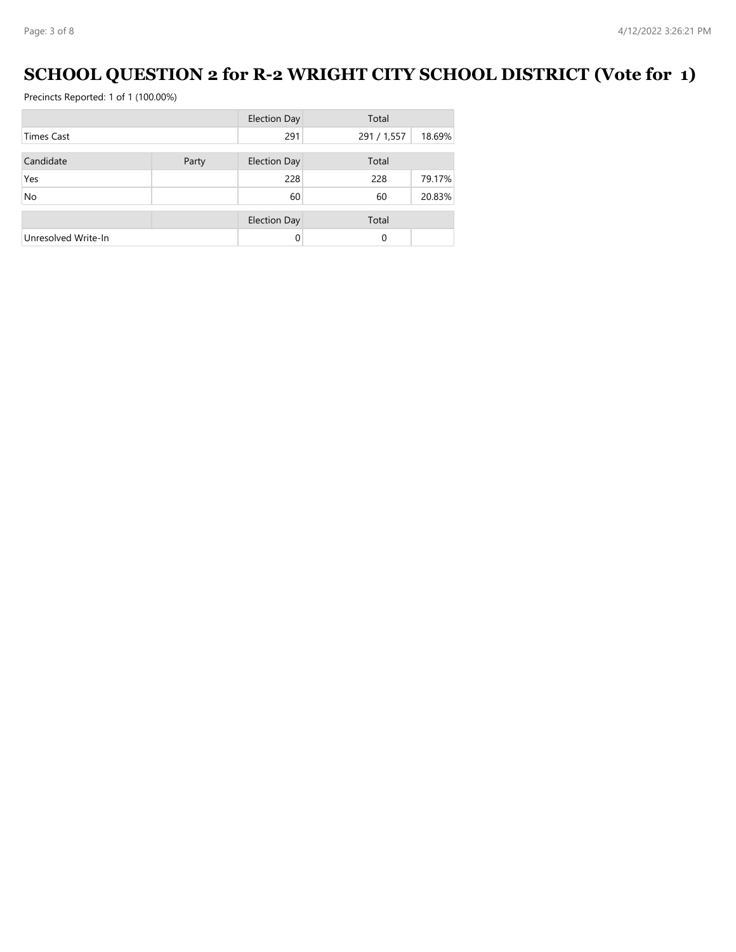# **SCHOOL QUESTION 2 for R-2 WRIGHT CITY SCHOOL DISTRICT (Vote for 1)**

|                     |       | <b>Election Day</b> | Total       |        |
|---------------------|-------|---------------------|-------------|--------|
| <b>Times Cast</b>   |       | 291                 | 291 / 1,557 | 18.69% |
| Candidate           | Party | <b>Election Day</b> | Total       |        |
|                     |       |                     |             |        |
| Yes                 |       | 228                 | 228         | 79.17% |
| <b>No</b>           |       | 60                  | 60          | 20.83% |
|                     |       |                     |             |        |
|                     |       | <b>Election Day</b> | Total       |        |
| Unresolved Write-In |       |                     | $\Omega$    |        |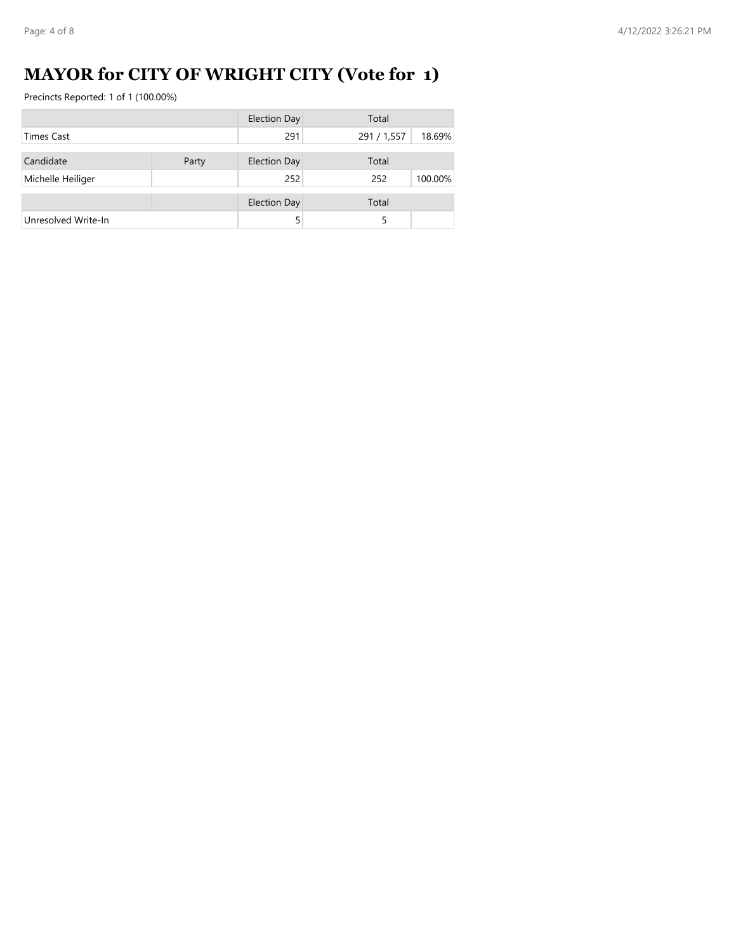# **MAYOR for CITY OF WRIGHT CITY (Vote for 1)**

|                     |       | <b>Election Day</b> | Total       |         |
|---------------------|-------|---------------------|-------------|---------|
| <b>Times Cast</b>   |       | 291                 | 291 / 1,557 | 18.69%  |
|                     |       |                     |             |         |
| Candidate           | Party | <b>Election Day</b> | Total       |         |
| Michelle Heiliger   |       | 252                 | 252         | 100.00% |
|                     |       |                     |             |         |
|                     |       | <b>Election Day</b> | Total       |         |
| Unresolved Write-In |       |                     |             |         |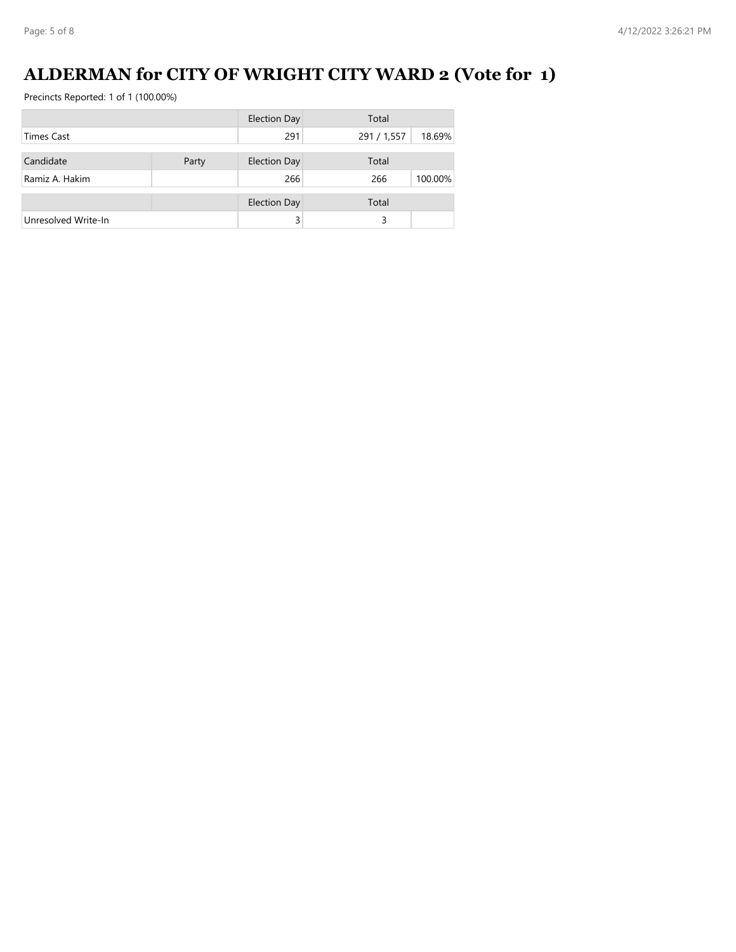# **ALDERMAN for CITY OF WRIGHT CITY WARD 2 (Vote for 1)**

|                     |       | <b>Election Day</b> | Total       |         |
|---------------------|-------|---------------------|-------------|---------|
| <b>Times Cast</b>   |       | 291                 | 291 / 1,557 | 18.69%  |
| Candidate           | Party | <b>Election Day</b> | Total       |         |
| Ramiz A. Hakim      |       | 266                 | 266         | 100.00% |
|                     |       | <b>Election Day</b> | Total       |         |
| Unresolved Write-In |       |                     | 3           |         |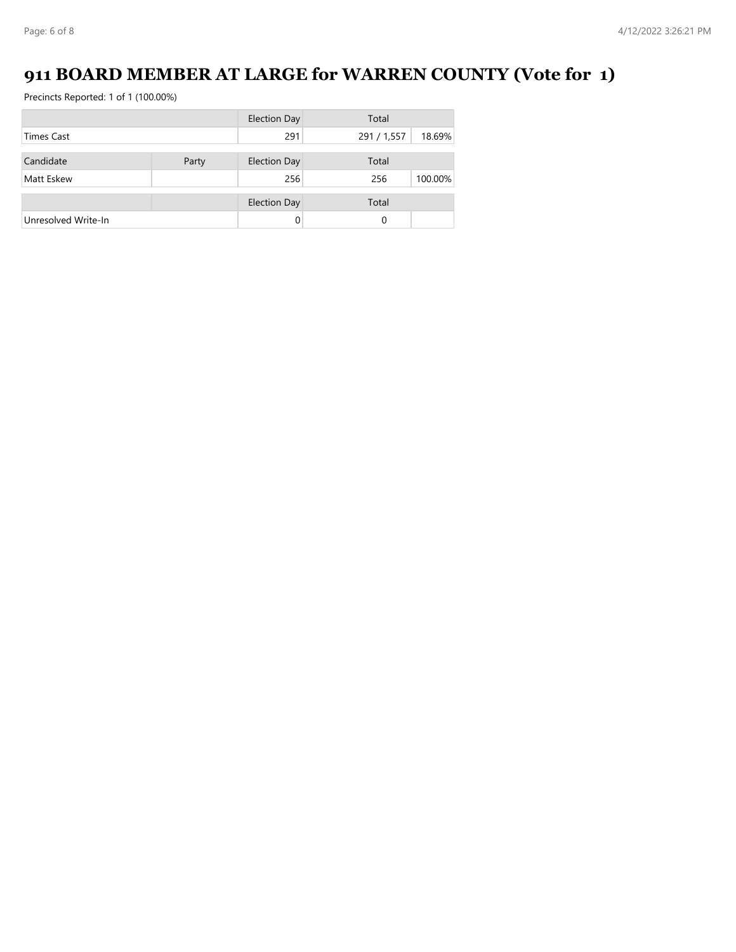# **911 BOARD MEMBER AT LARGE for WARREN COUNTY (Vote for 1)**

|                     |       | <b>Election Day</b> | Total       |         |
|---------------------|-------|---------------------|-------------|---------|
| <b>Times Cast</b>   |       | 291                 | 291 / 1,557 | 18.69%  |
|                     |       |                     |             |         |
| Candidate           | Party | <b>Election Day</b> | Total       |         |
| Matt Eskew          |       | 256                 | 256         | 100.00% |
|                     |       | <b>Election Day</b> | Total       |         |
| Unresolved Write-In |       | 0                   | 0           |         |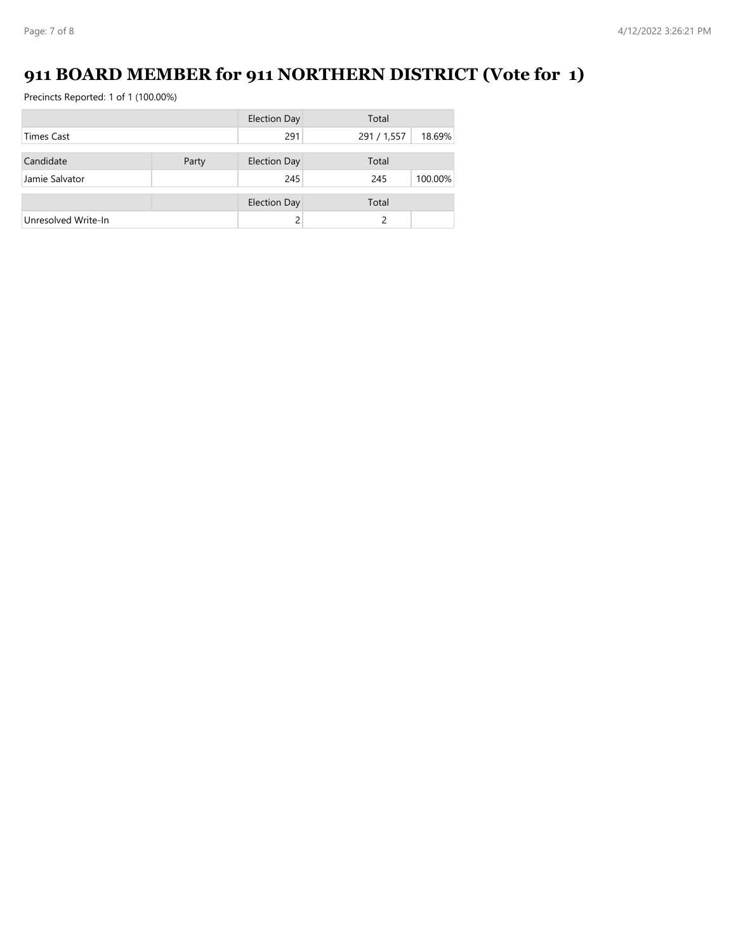# **911 BOARD MEMBER for 911 NORTHERN DISTRICT (Vote for 1)**

|                     |       | <b>Election Day</b> | Total       |         |
|---------------------|-------|---------------------|-------------|---------|
| <b>Times Cast</b>   |       | 291                 | 291 / 1,557 | 18.69%  |
| Candidate           | Party | <b>Election Day</b> | Total       |         |
|                     |       |                     |             |         |
| Jamie Salvator      |       | 245                 | 245         | 100.00% |
|                     |       | <b>Election Day</b> | Total       |         |
| Unresolved Write-In |       |                     |             |         |